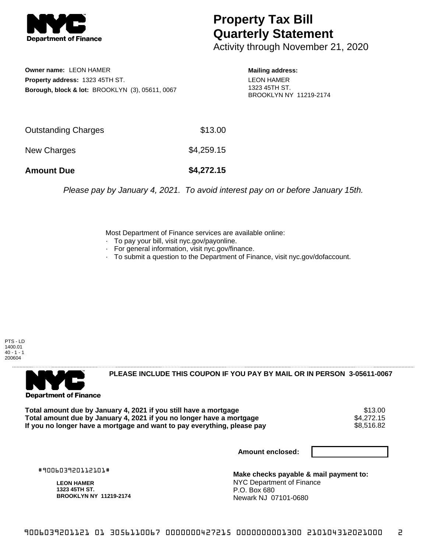

## **Property Tax Bill Quarterly Statement**

Activity through November 21, 2020

**Owner name:** LEON HAMER **Property address:** 1323 45TH ST. **Borough, block & lot:** BROOKLYN (3), 05611, 0067 **Mailing address:** LEON HAMER 1323 45TH ST. BROOKLYN NY 11219-2174

| <b>Amount Due</b>   | \$4,272.15 |
|---------------------|------------|
| New Charges         | \$4,259.15 |
| Outstanding Charges | \$13.00    |

Please pay by January 4, 2021. To avoid interest pay on or before January 15th.

Most Department of Finance services are available online:

- · To pay your bill, visit nyc.gov/payonline.
- For general information, visit nyc.gov/finance.
- · To submit a question to the Department of Finance, visit nyc.gov/dofaccount.

PTS - LD 1400.01  $40 - 1 - 1$ 200604



**PLEASE INCLUDE THIS COUPON IF YOU PAY BY MAIL OR IN PERSON 3-05611-0067** 

Total amount due by January 4, 2021 if you still have a mortgage **1986 of the Standard Standard Standard Standar**<br>Total amount due by January 4, 2021 if you no longer have a mortgage **1986 of the Standard Standard Standard Total amount due by January 4, 2021 if you no longer have a mortgage**  $$4,272.15$ **<br>If you no longer have a mortgage and want to pay everything, please pay <b>show that the summan show that the sou** If you no longer have a mortgage and want to pay everything, please pay

**Amount enclosed:**

#900603920112101#

**LEON HAMER 1323 45TH ST. BROOKLYN NY 11219-2174**

**Make checks payable & mail payment to:** NYC Department of Finance P.O. Box 680 Newark NJ 07101-0680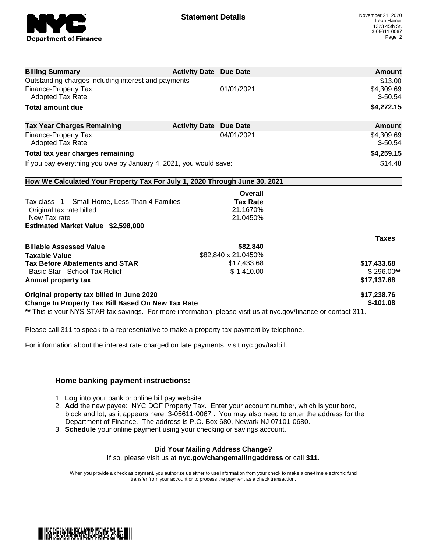

| <b>Billing Summary</b>                                                                                         | <b>Activity Date Due Date</b> |                     | <b>Amount</b> |
|----------------------------------------------------------------------------------------------------------------|-------------------------------|---------------------|---------------|
| Outstanding charges including interest and payments                                                            |                               |                     | \$13.00       |
| <b>Finance-Property Tax</b>                                                                                    |                               | 01/01/2021          | \$4,309.69    |
| <b>Adopted Tax Rate</b>                                                                                        |                               |                     | $$-50.54$     |
| <b>Total amount due</b>                                                                                        |                               |                     | \$4,272.15    |
| <b>Tax Year Charges Remaining</b>                                                                              | <b>Activity Date</b>          | <b>Due Date</b>     | Amount        |
| <b>Finance-Property Tax</b>                                                                                    |                               | 04/01/2021          | \$4,309.69    |
| <b>Adopted Tax Rate</b>                                                                                        |                               |                     | $$-50.54$     |
| Total tax year charges remaining                                                                               |                               |                     | \$4,259.15    |
| If you pay everything you owe by January 4, 2021, you would save:                                              |                               |                     | \$14.48       |
| How We Calculated Your Property Tax For July 1, 2020 Through June 30, 2021                                     |                               |                     |               |
|                                                                                                                |                               | <b>Overall</b>      |               |
| Tax class 1 - Small Home, Less Than 4 Families                                                                 |                               | <b>Tax Rate</b>     |               |
| Original tax rate billed                                                                                       |                               | 21.1670%            |               |
| New Tax rate                                                                                                   |                               | 21.0450%            |               |
| Estimated Market Value \$2,598,000                                                                             |                               |                     |               |
|                                                                                                                |                               |                     | <b>Taxes</b>  |
| <b>Billable Assessed Value</b>                                                                                 |                               | \$82,840            |               |
| <b>Taxable Value</b>                                                                                           |                               | \$82,840 x 21.0450% |               |
| <b>Tax Before Abatements and STAR</b>                                                                          |                               | \$17,433.68         | \$17,433.68   |
| Basic Star - School Tax Relief                                                                                 |                               | $$-1,410.00$        | $$-296.00**$  |
| Annual property tax                                                                                            |                               |                     | \$17,137.68   |
| Original property tax billed in June 2020                                                                      |                               |                     | \$17,238.76   |
| <b>Change In Property Tax Bill Based On New Tax Rate</b>                                                       |                               |                     | $$-101.08$    |
| ** This is your NYS STAR tax savings. For more information, please visit us at nyc.gov/finance or contact 311. |                               |                     |               |

Please call 311 to speak to a representative to make a property tax payment by telephone.

For information about the interest rate charged on late payments, visit nyc.gov/taxbill.

## **Home banking payment instructions:**

- 1. **Log** into your bank or online bill pay website.
- 2. **Add** the new payee: NYC DOF Property Tax. Enter your account number, which is your boro, block and lot, as it appears here: 3-05611-0067 . You may also need to enter the address for the Department of Finance. The address is P.O. Box 680, Newark NJ 07101-0680.
- 3. **Schedule** your online payment using your checking or savings account.

## **Did Your Mailing Address Change?**

If so, please visit us at **nyc.gov/changemailingaddress** or call **311.**

When you provide a check as payment, you authorize us either to use information from your check to make a one-time electronic fund transfer from your account or to process the payment as a check transaction.